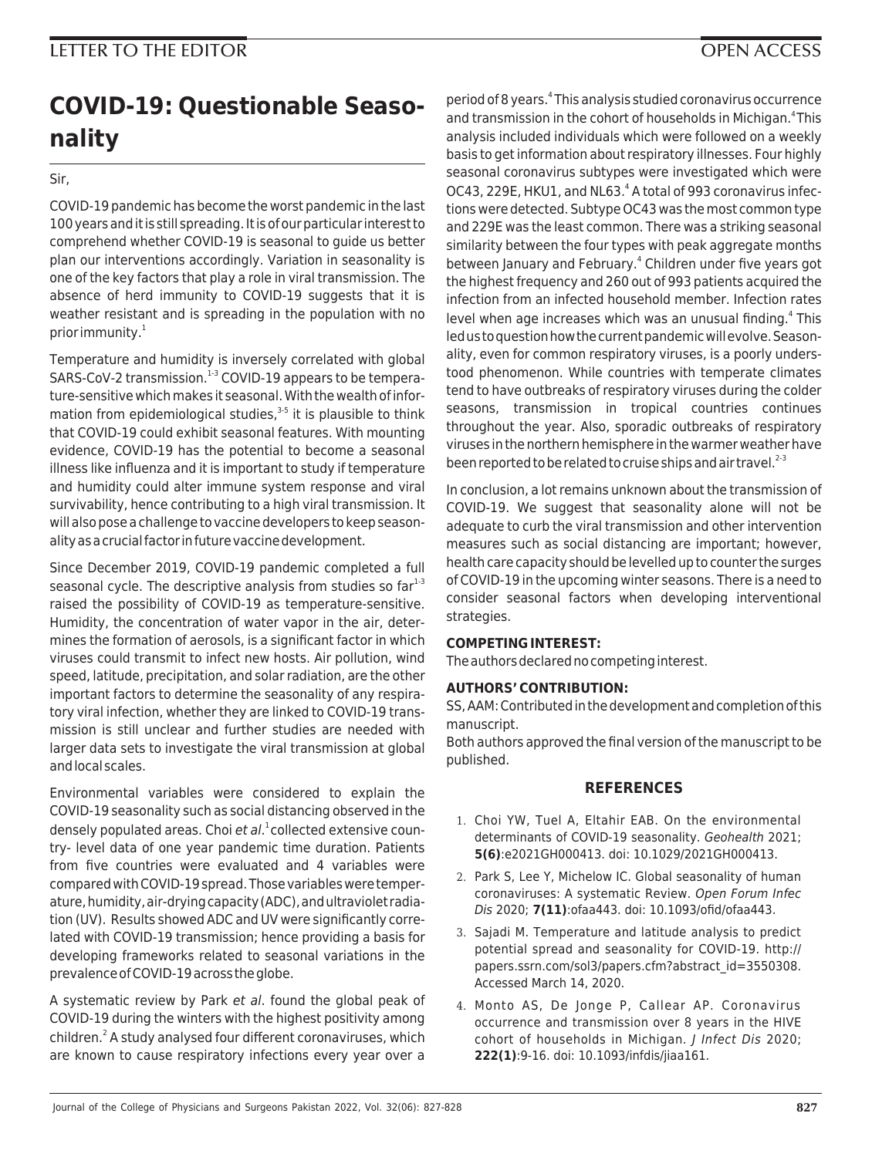## **LETTER TO THE EDITOR OPEN ACCESS**

# **COVID-19: Questionable Seasonality**

Sir,

COVID-19 pandemic has become the worst pandemic in the last 100 years and it is still spreading. It is of our particular interest to comprehend whether COVID-19 is seasonal to guide us better plan our interventions accordingly. Variation in seasonality is one of the key factors that play a role in viral transmission. The absence of herd immunity to COVID-19 suggests that it is weather resistant and is spreading in the population with no prior immunity.<sup>1</sup>

Temperature and humidity is inversely correlated with global SARS-CoV-2 transmission.<sup>1-3</sup> COVID-19 appears to be temperature-sensitive which makes it seasonal. With the wealth of information from epidemiological studies, $3-5$  it is plausible to think that COVID-19 could exhibit seasonal features. With mounting evidence, COVID-19 has the potential to become a seasonal illness like influenza and it is important to study if temperature and humidity could alter immune system response and viral survivability, hence contributing to a high viral transmission. It will also pose a challenge to vaccine developers to keep seasonality as a crucial factor in future vaccine development.

Since December 2019, COVID-19 pandemic completed a full seasonal cycle. The descriptive analysis from studies so  $far<sup>1-3</sup>$ raised the possibility of COVID-19 as temperature-sensitive. Humidity, the concentration of water vapor in the air, determines the formation of aerosols, is a significant factor in which viruses could transmit to infect new hosts. Air pollution, wind speed, latitude, precipitation, and solar radiation, are the other important factors to determine the seasonality of any respiratory viral infection, whether they are linked to COVID-19 transmission is still unclear and further studies are needed with larger data sets to investigate the viral transmission at global and local scales.

Environmental variables were considered to explain the COVID-19 seasonality such as social distancing observed in the densely populated areas. Choi et al.<sup>1</sup> collected extensive country- level data of one year pandemic time duration. Patients from five countries were evaluated and 4 variables were compared with COVID-19 spread. Those variables were temperature, humidity, air-drying capacity (ADC), and ultraviolet radiation (UV). Results showed ADC and UV were significantly correlated with COVID-19 transmission; hence providing a basis for developing frameworks related to seasonal variations in the prevalence of COVID-19 across the globe.

A systematic review by Park et al. found the global peak of COVID-19 during the winters with the highest positivity among children.<sup>2</sup> A study analysed four different coronaviruses, which are known to cause respiratory infections every year over a

period of 8 years.<sup>4</sup> This analysis studied coronavirus occurrence and transmission in the cohort of households in Michigan.<sup>4</sup>This analysis included individuals which were followed on a weekly basis to get information about respiratory illnesses. Four highly seasonal coronavirus subtypes were investigated which were OC43, 229E, HKU1, and NL63.<sup>4</sup> A total of 993 coronavirus infections were detected. Subtype OC43 was the most common type and 229E was the least common. There was a striking seasonal similarity between the four types with peak aggregate months between January and February.<sup>4</sup> Children under five years got the highest frequency and 260 out of 993 patients acquired the infection from an infected household member. Infection rates level when age increases which was an unusual finding.<sup>4</sup> This led us to question how the current pandemic will evolve. Seasonality, even for common respiratory viruses, is a poorly understood phenomenon. While countries with temperate climates tend to have outbreaks of respiratory viruses during the colder seasons, transmission in tropical countries continues throughout the year. Also, sporadic outbreaks of respiratory viruses in the northern hemisphere in the warmer weather have been reported to be related to cruise ships and air travel. $^{2-3}$ 

In conclusion, a lot remains unknown about the transmission of COVID-19. We suggest that seasonality alone will not be adequate to curb the viral transmission and other intervention measures such as social distancing are important; however, health care capacity should be levelled up to counter the surges of COVID-19 in the upcoming winter seasons. There is a need to consider seasonal factors when developing interventional strategies.

### **COMPETING INTEREST:**

The authors declared no competing interest.

#### **AUTHORS' CONTRIBUTION:**

SS, AAM: Contributed in the development and completion of this manuscript.

Both authors approved the final version of the manuscript to be published.

#### **REFERENCES**

- 1. Choi YW, Tuel A, Eltahir EAB. On the environmental determinants of COVID-19 seasonality. Geohealth 2021; **5(6)**:e2021GH000413. doi: 10.1029/2021GH000413.
- 2. Park S, Lee Y, Michelow IC. Global seasonality of human coronaviruses: A systematic Review. Open Forum Infec Dis 2020; **7(11)**:ofaa443. doi: 10.1093/ofid/ofaa443.
- 3. Sajadi M. Temperature and latitude analysis to predict potential spread and seasonality for COVID-19. http:// papers.ssrn.com/sol3/papers.cfm?abstract\_id=3550308. Accessed March 14, 2020.
- 4. Monto AS, De Jonge P, Callear AP. Coronavirus occurrence and transmission over 8 years in the HIVE cohort of households in Michigan. J Infect Dis 2020; **222(1)**:9-16. doi: 10.1093/infdis/jiaa161.